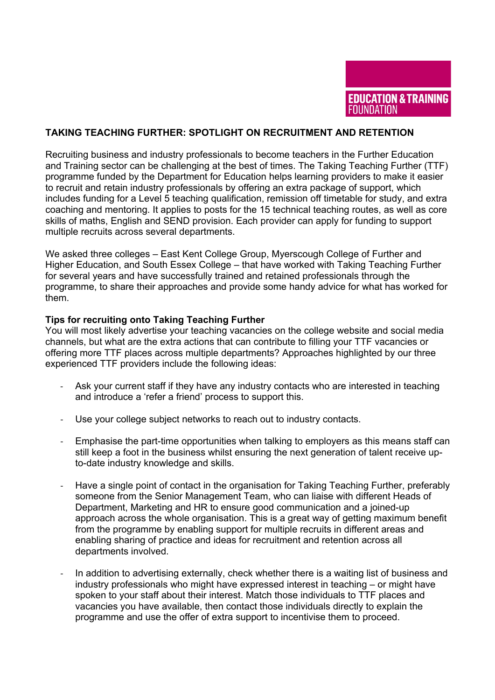

## **TAKING TEACHING FURTHER: SPOTLIGHT ON RECRUITMENT AND RETENTION**

Recruiting business and industry professionals to become teachers in the Further Education and Training sector can be challenging at the best of times. The Taking Teaching Further (TTF) programme funded by the Department for Education helps learning providers to make it easier to recruit and retain industry professionals by offering an extra package of support, which includes funding for a Level 5 teaching qualification, remission off timetable for study, and extra coaching and mentoring. It applies to posts for the 15 technical teaching routes, as well as core skills of maths, English and SEND provision. Each provider can apply for funding to support multiple recruits across several departments.

We asked three colleges – East Kent College Group, Myerscough College of Further and Higher Education, and South Essex College – that have worked with Taking Teaching Further for several years and have successfully trained and retained professionals through the programme, to share their approaches and provide some handy advice for what has worked for them.

## **Tips for recruiting onto Taking Teaching Further**

You will most likely advertise your teaching vacancies on the college website and social media channels, but what are the extra actions that can contribute to filling your TTF vacancies or offering more TTF places across multiple departments? Approaches highlighted by our three experienced TTF providers include the following ideas:

- Ask your current staff if they have any industry contacts who are interested in teaching and introduce a 'refer a friend' process to support this.
- Use your college subject networks to reach out to industry contacts.
- Emphasise the part-time opportunities when talking to employers as this means staff can still keep a foot in the business whilst ensuring the next generation of talent receive upto-date industry knowledge and skills.
- Have a single point of contact in the organisation for Taking Teaching Further, preferably someone from the Senior Management Team, who can liaise with different Heads of Department, Marketing and HR to ensure good communication and a joined-up approach across the whole organisation. This is a great way of getting maximum benefit from the programme by enabling support for multiple recruits in different areas and enabling sharing of practice and ideas for recruitment and retention across all departments involved.
- In addition to advertising externally, check whether there is a waiting list of business and industry professionals who might have expressed interest in teaching – or might have spoken to your staff about their interest. Match those individuals to TTF places and vacancies you have available, then contact those individuals directly to explain the programme and use the offer of extra support to incentivise them to proceed.